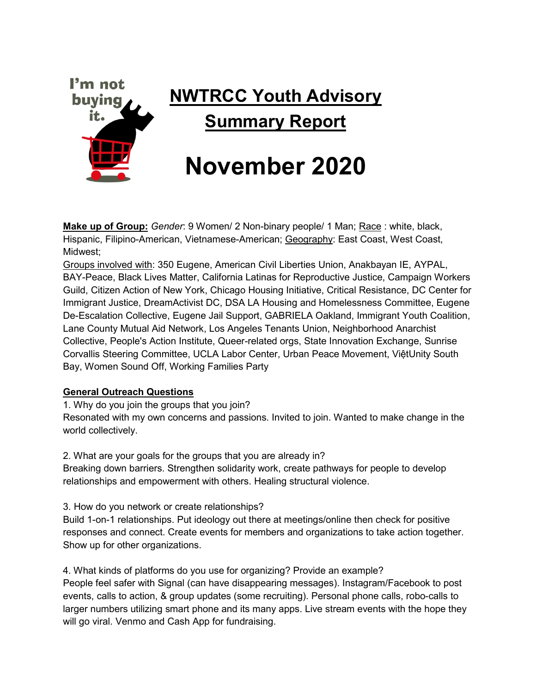

**Make up of Group:** *Gender*: 9 Women/ 2 Non-binary people/ 1 Man; Race : white, black, Hispanic, Filipino-American, Vietnamese-American; Geography: East Coast, West Coast, Midwest;

Groups involved with: 350 Eugene, American Civil Liberties Union, Anakbayan IE, AYPAL, BAY-Peace, Black Lives Matter, California Latinas for Reproductive Justice, Campaign Workers Guild, Citizen Action of New York, Chicago Housing Initiative, Critical Resistance, DC Center for Immigrant Justice, DreamActivist DC, DSA LA Housing and Homelessness Committee, Eugene De-Escalation Collective, Eugene Jail Support, GABRIELA Oakland, Immigrant Youth Coalition, Lane County Mutual Aid Network, Los Angeles Tenants Union, Neighborhood Anarchist Collective, People's Action Institute, Queer-related orgs, State Innovation Exchange, Sunrise Corvallis Steering Committee, UCLA Labor Center, Urban Peace Movement, ViệtUnity South Bay, Women Sound Off, Working Families Party

# **General Outreach Questions**

1. Why do you join the groups that you join?

Resonated with my own concerns and passions. Invited to join. Wanted to make change in the world collectively.

2. What are your goals for the groups that you are already in?

Breaking down barriers. Strengthen solidarity work, create pathways for people to develop relationships and empowerment with others. Healing structural violence.

3. How do you network or create relationships?

Build 1-on-1 relationships. Put ideology out there at meetings/online then check for positive responses and connect. Create events for members and organizations to take action together. Show up for other organizations.

4. What kinds of platforms do you use for organizing? Provide an example? People feel safer with Signal (can have disappearing messages). Instagram/Facebook to post

events, calls to action, & group updates (some recruiting). Personal phone calls, robo-calls to larger numbers utilizing smart phone and its many apps. Live stream events with the hope they will go viral. Venmo and Cash App for fundraising.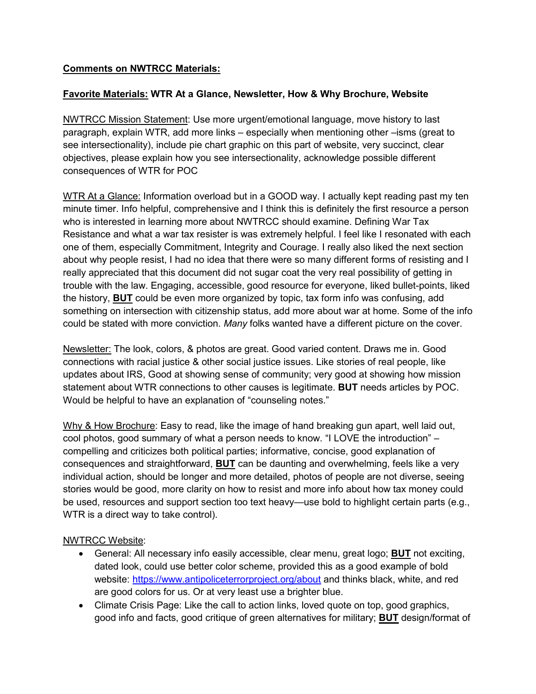# **Comments on NWTRCC Materials:**

#### **Favorite Materials: WTR At a Glance, Newsletter, How & Why Brochure, Website**

NWTRCC Mission Statement: Use more urgent/emotional language, move history to last paragraph, explain WTR, add more links – especially when mentioning other –isms (great to see intersectionality), include pie chart graphic on this part of website, very succinct, clear objectives, please explain how you see intersectionality, acknowledge possible different consequences of WTR for POC

WTR At a Glance: Information overload but in a GOOD way. I actually kept reading past my ten minute timer. Info helpful, comprehensive and I think this is definitely the first resource a person who is interested in learning more about NWTRCC should examine. Defining War Tax Resistance and what a war tax resister is was extremely helpful. I feel like I resonated with each one of them, especially Commitment, Integrity and Courage. I really also liked the next section about why people resist, I had no idea that there were so many different forms of resisting and I really appreciated that this document did not sugar coat the very real possibility of getting in trouble with the law. Engaging, accessible, good resource for everyone, liked bullet-points, liked the history, **BUT** could be even more organized by topic, tax form info was confusing, add something on intersection with citizenship status, add more about war at home. Some of the info could be stated with more conviction. *Many* folks wanted have a different picture on the cover.

Newsletter: The look, colors, & photos are great. Good varied content. Draws me in. Good connections with racial justice & other social justice issues. Like stories of real people, like updates about IRS, Good at showing sense of community; very good at showing how mission statement about WTR connections to other causes is legitimate. **BUT** needs articles by POC. Would be helpful to have an explanation of "counseling notes."

Why & How Brochure: Easy to read, like the image of hand breaking gun apart, well laid out, cool photos, good summary of what a person needs to know. "I LOVE the introduction" – compelling and criticizes both political parties; informative, concise, good explanation of consequences and straightforward, **BUT** can be daunting and overwhelming, feels like a very individual action, should be longer and more detailed, photos of people are not diverse, seeing stories would be good, more clarity on how to resist and more info about how tax money could be used, resources and support section too text heavy—use bold to highlight certain parts (e.g., WTR is a direct way to take control).

#### NWTRCC Website:

- General: All necessary info easily accessible, clear menu, great logo; **BUT** not exciting, dated look, could use better color scheme, provided this as a good example of bold website:<https://www.antipoliceterrorproject.org/about> and thinks black, white, and red are good colors for us. Or at very least use a brighter blue.
- Climate Crisis Page: Like the call to action links, loved quote on top, good graphics, good info and facts, good critique of green alternatives for military; **BUT** design/format of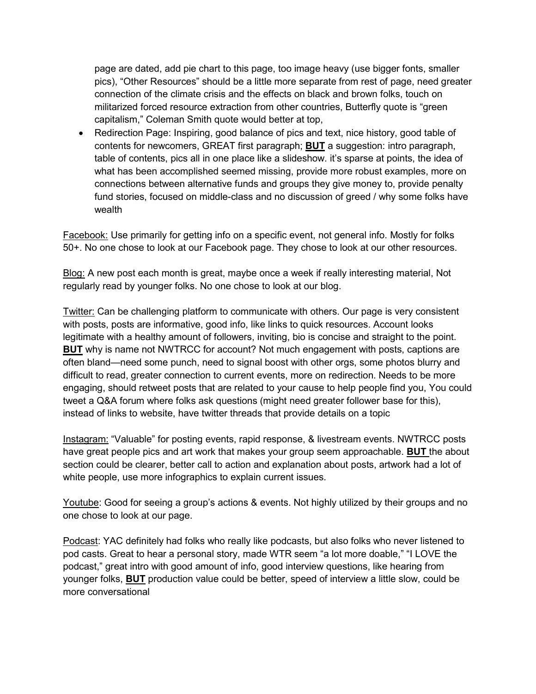page are dated, add pie chart to this page, too image heavy (use bigger fonts, smaller pics), "Other Resources" should be a little more separate from rest of page, need greater connection of the climate crisis and the effects on black and brown folks, touch on militarized forced resource extraction from other countries, Butterfly quote is "green capitalism," Coleman Smith quote would better at top,

• Redirection Page: Inspiring, good balance of pics and text, nice history, good table of contents for newcomers, GREAT first paragraph; **BUT** a suggestion: intro paragraph, table of contents, pics all in one place like a slideshow. it's sparse at points, the idea of what has been accomplished seemed missing, provide more robust examples, more on connections between alternative funds and groups they give money to, provide penalty fund stories, focused on middle-class and no discussion of greed / why some folks have wealth

Facebook: Use primarily for getting info on a specific event, not general info. Mostly for folks 50+. No one chose to look at our Facebook page. They chose to look at our other resources.

Blog: A new post each month is great, maybe once a week if really interesting material, Not regularly read by younger folks. No one chose to look at our blog.

Twitter: Can be challenging platform to communicate with others. Our page is very consistent with posts, posts are informative, good info, like links to quick resources. Account looks legitimate with a healthy amount of followers, inviting, bio is concise and straight to the point. **BUT** why is name not NWTRCC for account? Not much engagement with posts, captions are often bland—need some punch, need to signal boost with other orgs, some photos blurry and difficult to read, greater connection to current events, more on redirection. Needs to be more engaging, should retweet posts that are related to your cause to help people find you, You could tweet a Q&A forum where folks ask questions (might need greater follower base for this), instead of links to website, have twitter threads that provide details on a topic

Instagram: "Valuable" for posting events, rapid response, & livestream events. NWTRCC posts have great people pics and art work that makes your group seem approachable. **BUT** the about section could be clearer, better call to action and explanation about posts, artwork had a lot of white people, use more infographics to explain current issues.

Youtube: Good for seeing a group's actions & events. Not highly utilized by their groups and no one chose to look at our page.

Podcast: YAC definitely had folks who really like podcasts, but also folks who never listened to pod casts. Great to hear a personal story, made WTR seem "a lot more doable," "I LOVE the podcast," great intro with good amount of info, good interview questions, like hearing from younger folks, **BUT** production value could be better, speed of interview a little slow, could be more conversational